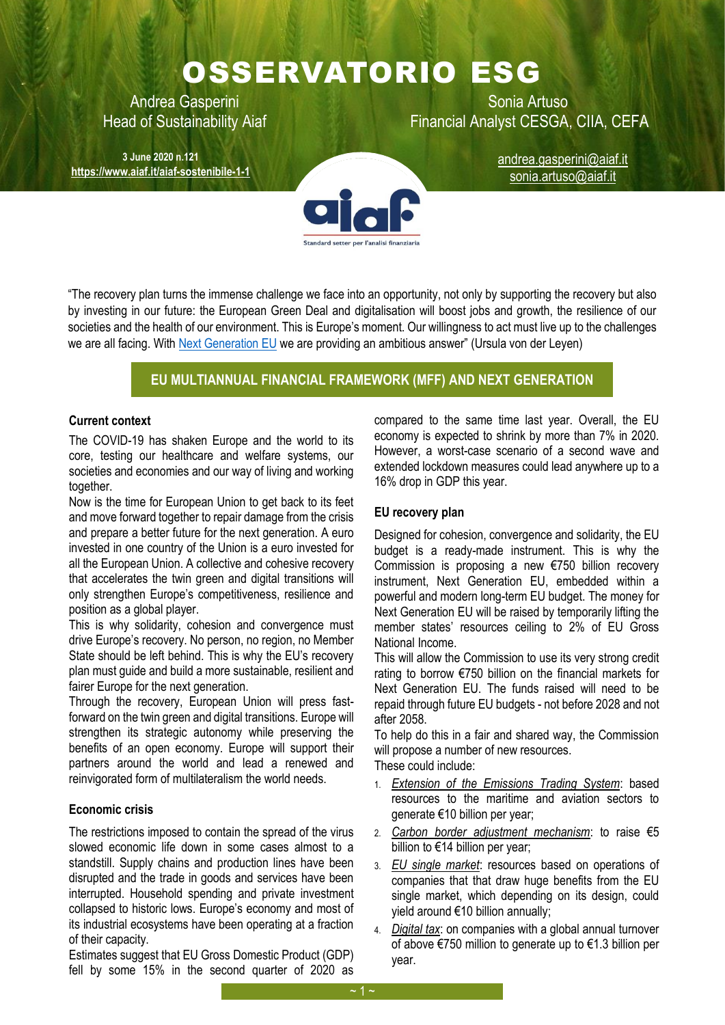# OSSERVATORIO ESG

Andrea Gasperini New York Sonia Artuso Head of Sustainability Aiaf Financial Analyst CESGA, CIIA, CEFA

**3 June 2020 n.121 <https://www.aiaf.it/aiaf-sostenibile-1-1>**

[andrea.gasperini@aiaf.it](mailto:andrea.gasperini@aiaf.it) sonia.artuso@aiaf.it



"The recovery plan turns the immense challenge we face into an opportunity, not only by supporting the recovery but also by investing in our future: the European Green Deal and digitalisation will boost jobs and growth, the resilience of our societies and the health of our environment. This is Europe's moment. Our willingness to act must live up to the challenges we are all facing. Wit[h Next Generation EU](https://ec.europa.eu/info/live-work-travel-eu/health/coronavirus-response/recovery-plan-europe_en) we are providing an ambitious answer" (Ursula von der Leyen)

## **EU MULTIANNUAL FINANCIAL FRAMEWORK (MFF) AND NEXT GENERATION**

## **Current context**

The COVID-19 has shaken Europe and the world to its core, testing our healthcare and welfare systems, our societies and economies and our way of living and working together.

Now is the time for European Union to get back to its feet and move forward together to repair damage from the crisis and prepare a better future for the next generation. A euro invested in one country of the Union is a euro invested for all the European Union. A collective and cohesive recovery that accelerates the twin green and digital transitions will only strengthen Europe's competitiveness, resilience and position as a global player.

This is why solidarity, cohesion and convergence must drive Europe's recovery. No person, no region, no Member State should be left behind. This is why the EU's recovery plan must guide and build a more sustainable, resilient and fairer Europe for the next generation.

Through the recovery, European Union will press fastforward on the twin green and digital transitions. Europe will strengthen its strategic autonomy while preserving the benefits of an open economy. Europe will support their partners around the world and lead a renewed and reinvigorated form of multilateralism the world needs.

## **Economic crisis**

The restrictions imposed to contain the spread of the virus slowed economic life down in some cases almost to a standstill. Supply chains and production lines have been disrupted and the trade in goods and services have been interrupted. Household spending and private investment collapsed to historic lows. Europe's economy and most of its industrial ecosystems have been operating at a fraction of their capacity.

Estimates suggest that EU Gross Domestic Product (GDP) fell by some 15% in the second quarter of 2020 as

compared to the same time last year. Overall, the EU economy is expected to shrink by more than 7% in 2020. However, a worst-case scenario of a second wave and extended lockdown measures could lead anywhere up to a 16% drop in GDP this year.

## **EU recovery plan**

Designed for cohesion, convergence and solidarity, the EU budget is a ready-made instrument. This is why the Commission is proposing a new €750 billion recovery instrument, Next Generation EU, embedded within a powerful and modern long-term EU budget. The money for Next Generation EU will be raised by temporarily lifting the member states' resources ceiling to 2% of EU Gross National Income.

This will allow the Commission to use its very strong credit rating to borrow €750 billion on the financial markets for Next Generation EU. The funds raised will need to be repaid through future EU budgets - not before 2028 and not after 2058.

To help do this in a fair and shared way, the Commission will propose a number of new resources.

These could include:

- 1. *Extension of the Emissions Trading System*: based resources to the maritime and aviation sectors to generate €10 billion per year;
- 2. *Carbon border adjustment mechanism*: to raise €5 billion to €14 billion per year;
- 3. *EU single market*: resources based on operations of companies that that draw huge benefits from the EU single market, which depending on its design, could yield around €10 billion annually;
- 4. *Digital tax*: on companies with a global annual turnover of above €750 million to generate up to €1.3 billion per year.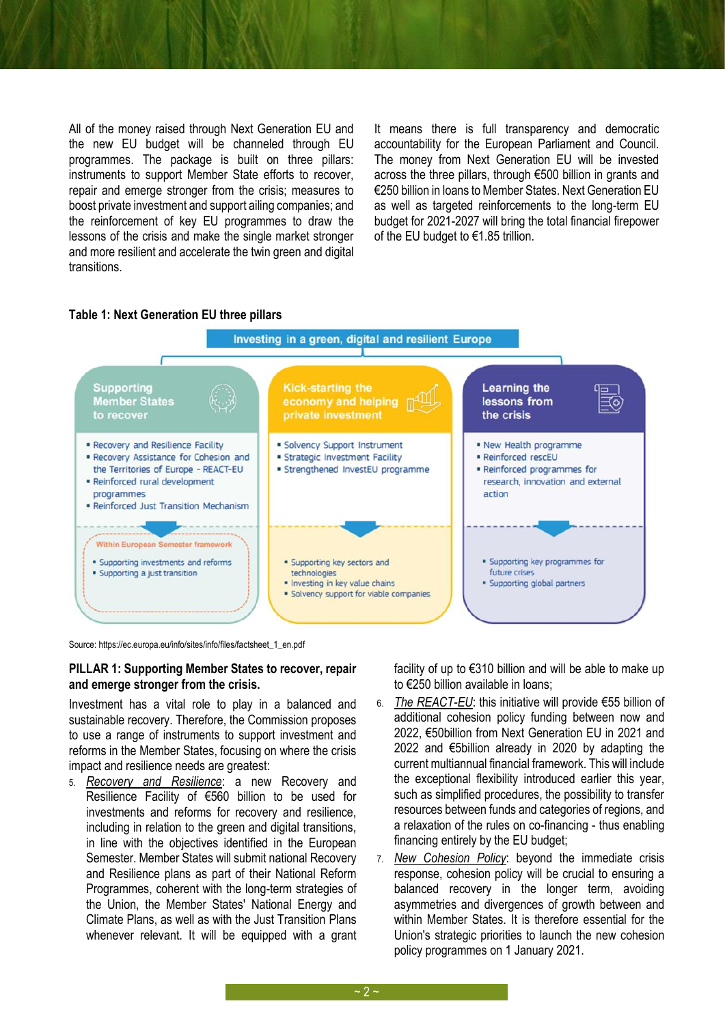All of the money raised through Next Generation EU and the new EU budget will be channeled through EU programmes. The package is built on three pillars: instruments to support Member State efforts to recover, repair and emerge stronger from the crisis; measures to boost private investment and support ailing companies; and the reinforcement of key EU programmes to draw the lessons of the crisis and make the single market stronger and more resilient and accelerate the twin green and digital transitions.

It means there is full transparency and democratic accountability for the European Parliament and Council. The money from Next Generation EU will be invested across the three pillars, through €500 billion in grants and €250 billion in loans to Member States. Next Generation EU as well as targeted reinforcements to the long-term EU budget for 2021-2027 will bring the total financial firepower of the EU budget to €1.85 trillion.

#### **Table 1: Next Generation EU three pillars**



Source: https://ec.europa.eu/info/sites/info/files/factsheet\_1\_en.pdf

#### **PILLAR 1: Supporting Member States to recover, repair and emerge stronger from the crisis.**

Investment has a vital role to play in a balanced and sustainable recovery. Therefore, the Commission proposes to use a range of instruments to support investment and reforms in the Member States, focusing on where the crisis impact and resilience needs are greatest:

5. *Recovery and Resilience*: a new Recovery and Resilience Facility of €560 billion to be used for investments and reforms for recovery and resilience, including in relation to the green and digital transitions, in line with the objectives identified in the European Semester. Member States will submit national Recovery and Resilience plans as part of their National Reform Programmes, coherent with the long-term strategies of the Union, the Member States' National Energy and Climate Plans, as well as with the Just Transition Plans whenever relevant. It will be equipped with a grant facility of up to  $\epsilon$ 310 billion and will be able to make up to €250 billion available in loans;

- 6. *The REACT-EU*: this initiative will provide €55 billion of additional cohesion policy funding between now and 2022, €50billion from Next Generation EU in 2021 and 2022 and €5billion already in 2020 by adapting the current multiannual financial framework. This will include the exceptional flexibility introduced earlier this year, such as simplified procedures, the possibility to transfer resources between funds and categories of regions, and a relaxation of the rules on co-financing - thus enabling financing entirely by the EU budget;
- 7. *New Cohesion Policy*: beyond the immediate crisis response, cohesion policy will be crucial to ensuring a balanced recovery in the longer term, avoiding asymmetries and divergences of growth between and within Member States. It is therefore essential for the Union's strategic priorities to launch the new cohesion policy programmes on 1 January 2021.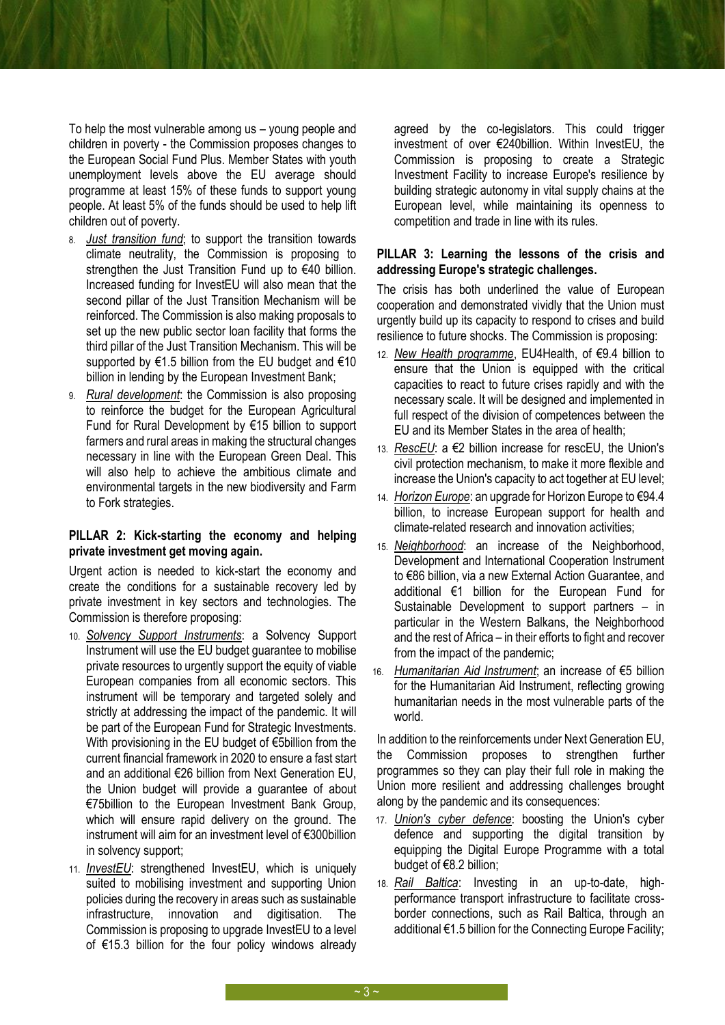To help the most vulnerable among us – young people and children in poverty - the Commission proposes changes to the European Social Fund Plus. Member States with youth unemployment levels above the EU average should programme at least 15% of these funds to support young people. At least 5% of the funds should be used to help lift children out of poverty.

- 8. *Just transition fund*; to support the transition towards climate neutrality, the Commission is proposing to strengthen the Just Transition Fund up to €40 billion. Increased funding for InvestEU will also mean that the second pillar of the Just Transition Mechanism will be reinforced. The Commission is also making proposals to set up the new public sector loan facility that forms the third pillar of the Just Transition Mechanism. This will be supported by  $\epsilon$ 1.5 billion from the EU budget and  $\epsilon$ 10 billion in lending by the European Investment Bank;
- 9. *Rural development*: the Commission is also proposing to reinforce the budget for the European Agricultural Fund for Rural Development by €15 billion to support farmers and rural areas in making the structural changes necessary in line with the European Green Deal. This will also help to achieve the ambitious climate and environmental targets in the new biodiversity and Farm to Fork strategies.

#### **PILLAR 2: Kick-starting the economy and helping private investment get moving again.**

Urgent action is needed to kick-start the economy and create the conditions for a sustainable recovery led by private investment in key sectors and technologies. The Commission is therefore proposing:

- 10. *Solvency Support Instruments*: a Solvency Support Instrument will use the EU budget guarantee to mobilise private resources to urgently support the equity of viable European companies from all economic sectors. This instrument will be temporary and targeted solely and strictly at addressing the impact of the pandemic. It will be part of the European Fund for Strategic Investments. With provisioning in the EU budget of €5billion from the current financial framework in 2020 to ensure a fast start and an additional €26 billion from Next Generation EU, the Union budget will provide a guarantee of about €75billion to the European Investment Bank Group, which will ensure rapid delivery on the ground. The instrument will aim for an investment level of €300billion in solvency support;
- 11. *InvestEU*: strengthened InvestEU, which is uniquely suited to mobilising investment and supporting Union policies during the recovery in areas such as sustainable infrastructure, innovation and digitisation. The Commission is proposing to upgrade InvestEU to a level of €15.3 billion for the four policy windows already

agreed by the co-legislators. This could trigger investment of over €240billion. Within InvestEU, the Commission is proposing to create a Strategic Investment Facility to increase Europe's resilience by building strategic autonomy in vital supply chains at the European level, while maintaining its openness to competition and trade in line with its rules.

#### **PILLAR 3: Learning the lessons of the crisis and addressing Europe's strategic challenges.**

The crisis has both underlined the value of European cooperation and demonstrated vividly that the Union must urgently build up its capacity to respond to crises and build resilience to future shocks. The Commission is proposing:

- 12. *New Health programme*, EU4Health, of €9.4 billion to ensure that the Union is equipped with the critical capacities to react to future crises rapidly and with the necessary scale. It will be designed and implemented in full respect of the division of competences between the EU and its Member States in the area of health;
- 13. *RescEU*: a €2 billion increase for rescEU, the Union's civil protection mechanism, to make it more flexible and increase the Union's capacity to act together at EU level;
- 14. *Horizon Europe*: an upgrade for Horizon Europe to €94.4 billion, to increase European support for health and climate-related research and innovation activities;
- 15. *Neighborhood*: an increase of the Neighborhood, Development and International Cooperation Instrument to €86 billion, via a new External Action Guarantee, and additional €1 billion for the European Fund for Sustainable Development to support partners – in particular in the Western Balkans, the Neighborhood and the rest of Africa – in their efforts to fight and recover from the impact of the pandemic;
- 16. *Humanitarian Aid Instrument*; an increase of €5 billion for the Humanitarian Aid Instrument, reflecting growing humanitarian needs in the most vulnerable parts of the world.

In addition to the reinforcements under Next Generation EU, the Commission proposes to strengthen further programmes so they can play their full role in making the Union more resilient and addressing challenges brought along by the pandemic and its consequences:

- 17. *Union's cyber defence*: boosting the Union's cyber defence and supporting the digital transition by equipping the Digital Europe Programme with a total budget of €8.2 billion;
- 18. *Rail Baltica*: Investing in an up-to-date, highperformance transport infrastructure to facilitate crossborder connections, such as Rail Baltica, through an additional €1.5 billion for the Connecting Europe Facility;